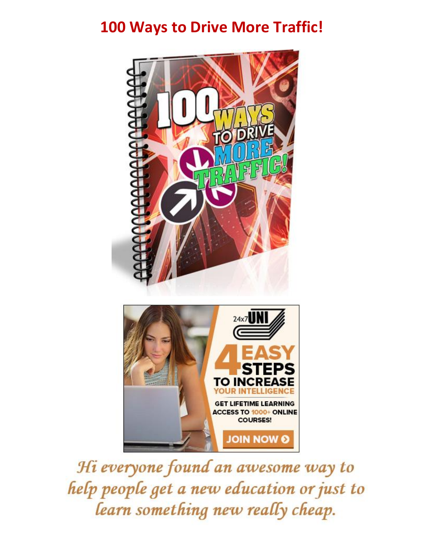# **100 Ways to Drive More Traffic!**





Hi everyone found an awesome way to help people get a new education or just to learn something new really cheap.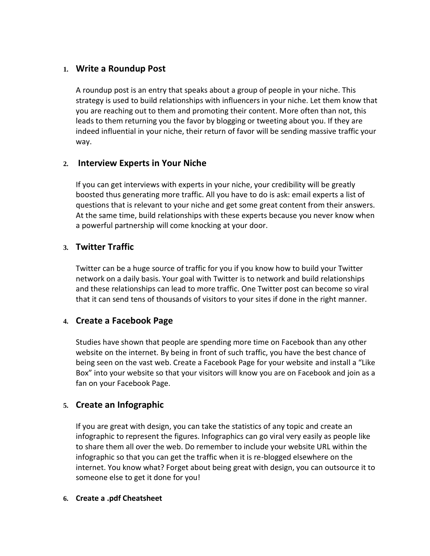# **1. Write a Roundup Post**

A roundup post is an entry that speaks about a group of people in your niche. This strategy is used to build relationships with influencers in your niche. Let them know that you are reaching out to them and promoting their content. More often than not, this leads to them returning you the favor by blogging or tweeting about you. If they are indeed influential in your niche, their return of favor will be sending massive traffic your way.

# **2. Interview Experts in Your Niche**

If you can get interviews with experts in your niche, your credibility will be greatly boosted thus generating more traffic. All you have to do is ask: email experts a list of questions that is relevant to your niche and get some great content from their answers. At the same time, build relationships with these experts because you never know when a powerful partnership will come knocking at your door.

# **3. Twitter Traffic**

Twitter can be a huge source of traffic for you if you know how to build your Twitter network on a daily basis. Your goal with Twitter is to network and build relationships and these relationships can lead to more traffic. One Twitter post can become so viral that it can send tens of thousands of visitors to your sites if done in the right manner.

# **4. Create a Facebook Page**

Studies have shown that people are spending more time on Facebook than any other website on the internet. By being in front of such traffic, you have the best chance of being seen on the vast web. Create a Facebook Page for your website and install a "Like Box" into your website so that your visitors will know you are on Facebook and join as a fan on your Facebook Page.

# **5. Create an Infographic**

If you are great with design, you can take the statistics of any topic and create an infographic to represent the figures. Infographics can go viral very easily as people like to share them all over the web. Do remember to include your website URL within the infographic so that you can get the traffic when it is re-blogged elsewhere on the internet. You know what? Forget about being great with design, you can outsource it to someone else to get it done for you!

# **6. Create a .pdf Cheatsheet**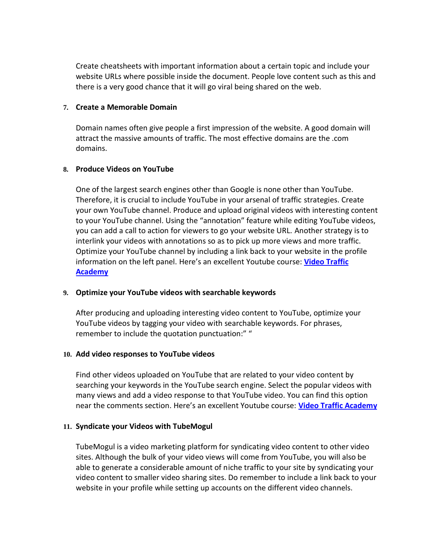Create cheatsheets with important information about a certain topic and include your website URLs where possible inside the document. People love content such as this and there is a very good chance that it will go viral being shared on the web.

#### **7. Create a Memorable Domain**

Domain names often give people a first impression of the website. A good domain will attract the massive amounts of traffic. The most effective domains are the .com domains.

# **8. Produce Videos on YouTube**

One of the largest search engines other than Google is none other than YouTube. Therefore, it is crucial to include YouTube in your arsenal of traffic strategies. Create your own YouTube channel. Produce and upload original videos with interesting content to your YouTube channel. Using the "annotation" feature while editing YouTube videos, you can add a call to action for viewers to go your website URL. Another strategy is to interlink your videos with annotations so as to pick up more views and more traffic. Optimize your YouTube channel by including a link back to your website in the profile information on the left panel. Here's an excellent Youtube course: **[Video Traffic](http://www.videotrafficacademy.com/)  [Academy](http://www.videotrafficacademy.com/)**

# **9. Optimize your YouTube videos with searchable keywords**

After producing and uploading interesting video content to YouTube, optimize your YouTube videos by tagging your video with searchable keywords. For phrases, remember to include the quotation punctuation:" "

#### **10. Add video responses to YouTube videos**

Find other videos uploaded on YouTube that are related to your video content by searching your keywords in the YouTube search engine. Select the popular videos with many views and add a video response to that YouTube video. You can find this option near the comments section. Here's an excellent Youtube course: **[Video Traffic Academy](http://www.videotrafficacademy.com/)**

# **11. Syndicate your Videos with TubeMogul**

TubeMogul is a video marketing platform for syndicating video content to other video sites. Although the bulk of your video views will come from YouTube, you will also be able to generate a considerable amount of niche traffic to your site by syndicating your video content to smaller video sharing sites. Do remember to include a link back to your website in your profile while setting up accounts on the different video channels.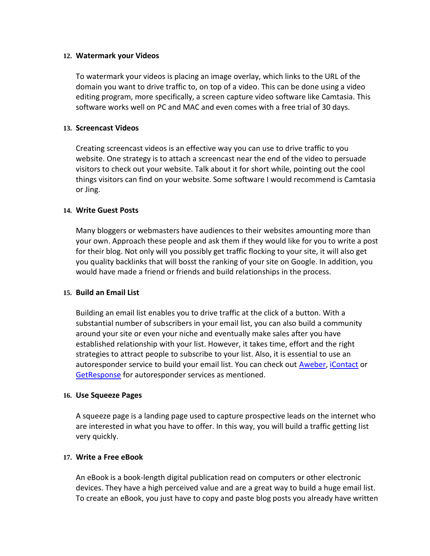#### **12. Watermark your Videos**

To watermark your videos is placing an image overlay, which links to the URL of the domain you want to drive traffic to, on top of a video. This can be done using a video editing program, more specifically, a screen capture video software like Camtasia. This software works well on PC and MAC and even comes with a free trial of 30 days.

# **13. Screencast Videos**

Creating screencast videos is an effective way you can use to drive traffic to you website. One strategy is to attach a screencast near the end of the video to persuade visitors to check out your website. Talk about it for short while, pointing out the cool things visitors can find on your website. Some software I would recommend is Camtasia or Jing.

#### **14. Write Guest Posts**

Many bloggers or webmasters have audiences to their websites amounting more than your own. Approach these people and ask them if they would like for you to write a post for their blog. Not only will you possibly get traffic flocking to your site, it will also get you quality backlinks that will bosst the ranking of your site on Google. In addition, you would have made a friend or friends and build relationships in the process.

#### **15. Build an Email List**

Building an email list enables you to drive traffic at the click of a button. With a substantial number of subscribers in your email list, you can also build a community around your site or even your niche and eventually make sales after you have established relationship with your list. However, it takes time, effort and the right strategies to attract people to subscribe to your list. Also, it is essential to use an autoresponder service to build your email list. You can check out [Aweber,](http://www.aweber.com/) [iContact](http://www.icontact.com/) or [GetResponse](http://www.getresponse.com/) for autoresponder services as mentioned.

#### **16. Use Squeeze Pages**

A squeeze page is a landing page used to capture prospective leads on the internet who are interested in what you have to offer. In this way, you will build a traffic getting list very quickly.

#### **17. Write a Free eBook**

An eBook is a book-length digital publication read on computers or other electronic devices. They have a high perceived value and are a great way to build a huge email list. To create an eBook, you just have to copy and paste blog posts you already have written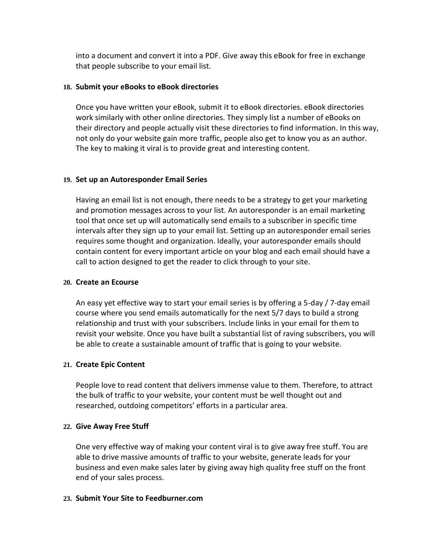into a document and convert it into a PDF. Give away this eBook for free in exchange that people subscribe to your email list.

# **18. Submit your eBooks to eBook directories**

Once you have written your eBook, submit it to eBook directories. eBook directories work similarly with other online directories. They simply list a number of eBooks on their directory and people actually visit these directories to find information. In this way, not only do your website gain more traffic, people also get to know you as an author. The key to making it viral is to provide great and interesting content.

# **19. Set up an Autoresponder Email Series**

Having an email list is not enough, there needs to be a strategy to get your marketing and promotion messages across to your list. An autoresponder is an email marketing tool that once set up will automatically send emails to a subscriber in specific time intervals after they sign up to your email list. Setting up an autoresponder email series requires some thought and organization. Ideally, your autoresponder emails should contain content for every important article on your blog and each email should have a call to action designed to get the reader to click through to your site.

# **20. Create an Ecourse**

An easy yet effective way to start your email series is by offering a 5-day / 7-day email course where you send emails automatically for the next 5/7 days to build a strong relationship and trust with your subscribers. Include links in your email for them to revisit your website. Once you have built a substantial list of raving subscribers, you will be able to create a sustainable amount of traffic that is going to your website.

# **21. Create Epic Content**

People love to read content that delivers immense value to them. Therefore, to attract the bulk of traffic to your website, your content must be well thought out and researched, outdoing competitors' efforts in a particular area.

# **22. Give Away Free Stuff**

One very effective way of making your content viral is to give away free stuff. You are able to drive massive amounts of traffic to your website, generate leads for your business and even make sales later by giving away high quality free stuff on the front end of your sales process.

# **23. Submit Your Site to Feedburner.com**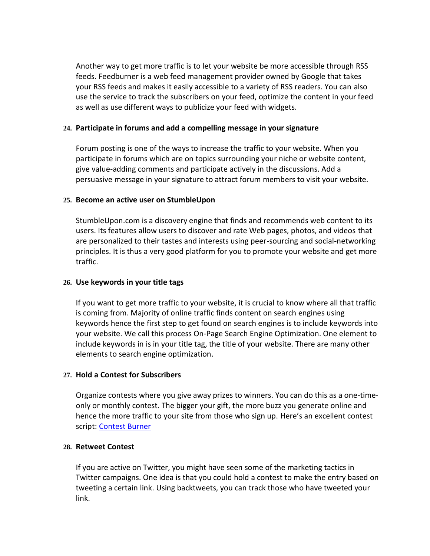Another way to get more traffic is to let your website be more accessible through RSS feeds. Feedburner is a web feed management provider owned by Google that takes your RSS feeds and makes it easily accessible to a variety of RSS readers. You can also use the service to track the subscribers on your feed, optimize the content in your feed as well as use different ways to publicize your feed with widgets.

# **24. Participate in forums and add a compelling message in your signature**

Forum posting is one of the ways to increase the traffic to your website. When you participate in forums which are on topics surrounding your niche or website content, give value-adding comments and participate actively in the discussions. Add a persuasive message in your signature to attract forum members to visit your website.

# **25. Become an active user on StumbleUpon**

StumbleUpon.com is a discovery engine that finds and recommends web content to its users. Its features allow users to discover and rate Web pages, photos, and videos that are personalized to their tastes and interests using peer-sourcing and social-networking principles. It is thus a very good platform for you to promote your website and get more traffic.

# **26. Use keywords in your title tags**

If you want to get more traffic to your website, it is crucial to know where all that traffic is coming from. Majority of online traffic finds content on search engines using keywords hence the first step to get found on search engines is to include keywords into your website. We call this process On-Page Search Engine Optimization. One element to include keywords in is in your title tag, the title of your website. There are many other elements to search engine optimization.

# **27. Hold a Contest for Subscribers**

Organize contests where you give away prizes to winners. You can do this as a one-timeonly or monthly contest. The bigger your gift, the more buzz you generate online and hence the more traffic to your site from those who sign up. Here's an excellent contest script: [Contest Burner](http://www.contestburner.com/)

#### **28. Retweet Contest**

If you are active on Twitter, you might have seen some of the marketing tactics in Twitter campaigns. One idea is that you could hold a contest to make the entry based on tweeting a certain link. Using backtweets, you can track those who have tweeted your link.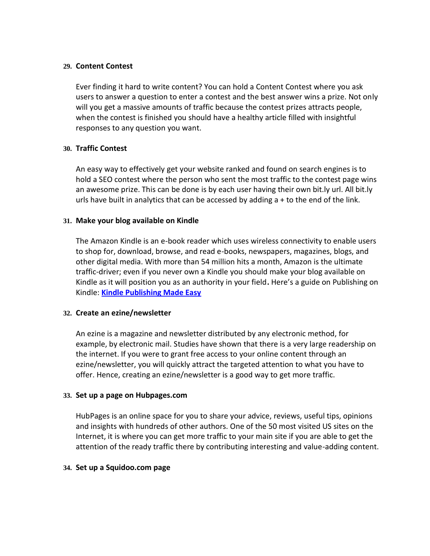#### **29. Content Contest**

Ever finding it hard to write content? You can hold a Content Contest where you ask users to answer a question to enter a contest and the best answer wins a prize. Not only will you get a massive amounts of traffic because the contest prizes attracts people, when the contest is finished you should have a healthy article filled with insightful responses to any question you want.

# **30. Traffic Contest**

An easy way to effectively get your website ranked and found on search engines is to hold a SEO contest where the person who sent the most traffic to the contest page wins an awesome prize. This can be done is by each user having their own bit.ly url. All bit.ly urls have built in analytics that can be accessed by adding a + to the end of the link.

# **31. Make your blog available on Kindle**

The Amazon Kindle is an e-book reader which uses wireless connectivity to enable users to shop for, download, browse, and read e-books, newspapers, magazines, blogs, and other digital media. With more than 54 million hits a month, Amazon is the ultimate traffic-driver; even if you never own a Kindle you should make your blog available on Kindle as it will position you as an authority in your field**.** Here's a guide on Publishing on Kindle: **[Kindle Publishing Made Easy](http://kindlepublishingmadeeasy.com/)**

# **32. Create an ezine/newsletter**

An ezine is a magazine and newsletter distributed by any electronic method, for example, by electronic mail. Studies have shown that there is a very large readership on the internet. If you were to grant free access to your online content through an ezine/newsletter, you will quickly attract the targeted attention to what you have to offer. Hence, creating an ezine/newsletter is a good way to get more traffic.

# **33. Set up a page on Hubpages.com**

HubPages is an online space for you to share your advice, reviews, useful tips, opinions and insights with hundreds of other authors. One of the 50 most visited US sites on the Internet, it is where you can get more traffic to your main site if you are able to get the attention of the ready traffic there by contributing interesting and value-adding content.

# **34. Set up a Squidoo.com page**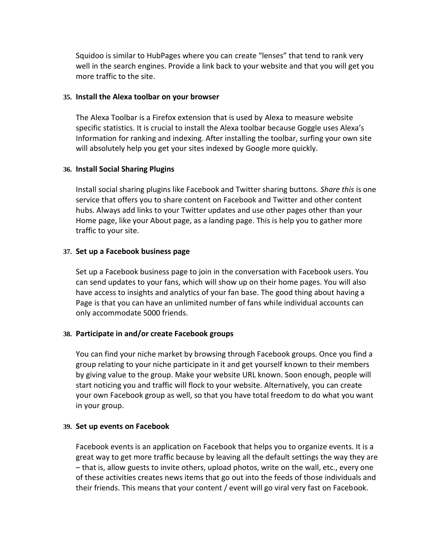Squidoo is similar to HubPages where you can create "lenses" that tend to rank very well in the search engines. Provide a link back to your website and that you will get you more traffic to the site.

#### **35. Install the Alexa toolbar on your browser**

The Alexa Toolbar is a Firefox extension that is used by Alexa to measure website specific statistics. It is crucial to install the Alexa toolbar because Goggle uses Alexa's Information for ranking and indexing. After installing the toolbar, surfing your own site will absolutely help you get your sites indexed by Google more quickly.

#### **36. Install Social Sharing Plugins**

Install social sharing plugins like Facebook and Twitter sharing buttons. *Share this* is one service that offers you to share content on Facebook and Twitter and other content hubs. Always add links to your Twitter updates and use other pages other than your Home page, like your About page, as a landing page. This is help you to gather more traffic to your site.

#### **37. Set up a Facebook business page**

Set up a Facebook business page to join in the conversation with Facebook users. You can send updates to your fans, which will show up on their home pages. You will also have access to insights and analytics of your fan base. The good thing about having a Page is that you can have an unlimited number of fans while individual accounts can only accommodate 5000 friends.

# **38. Participate in and/or create Facebook groups**

You can find your niche market by browsing through Facebook groups. Once you find a group relating to your niche participate in it and get yourself known to their members by giving value to the group. Make your website URL known. Soon enough, people will start noticing you and traffic will flock to your website. Alternatively, you can create your own Facebook group as well, so that you have total freedom to do what you want in your group.

#### **39. Set up events on Facebook**

Facebook events is an application on Facebook that helps you to organize events. It is a great way to get more traffic because by leaving all the default settings the way they are – that is, allow guests to invite others, upload photos, write on the wall, etc., every one of these activities creates news items that go out into the feeds of those individuals and their friends. This means that your content / event will go viral very fast on Facebook.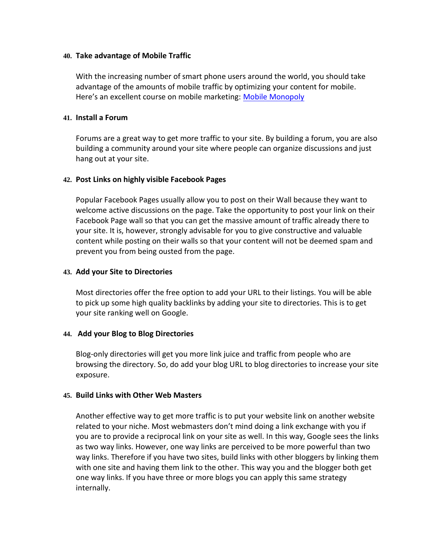#### **40. Take advantage of Mobile Traffic**

With the increasing number of smart phone users around the world, you should take advantage of the amounts of mobile traffic by optimizing your content for mobile. Here's an excellent course on mobile marketing: [Mobile Monopoly](http://www.mobilemonopoly.com/)

#### **41. Install a Forum**

Forums are a great way to get more traffic to your site. By building a forum, you are also building a community around your site where people can organize discussions and just hang out at your site.

# **42. Post Links on highly visible Facebook Pages**

Popular Facebook Pages usually allow you to post on their Wall because they want to welcome active discussions on the page. Take the opportunity to post your link on their Facebook Page wall so that you can get the massive amount of traffic already there to your site. It is, however, strongly advisable for you to give constructive and valuable content while posting on their walls so that your content will not be deemed spam and prevent you from being ousted from the page.

# **43. Add your Site to Directories**

Most directories offer the free option to add your URL to their listings. You will be able to pick up some high quality backlinks by adding your site to directories. This is to get your site ranking well on Google.

# **44. Add your Blog to Blog Directories**

Blog-only directories will get you more link juice and traffic from people who are browsing the directory. So, do add your blog URL to blog directories to increase your site exposure.

# **45. Build Links with Other Web Masters**

Another effective way to get more traffic is to put your website link on another website related to your niche. Most webmasters don't mind doing a link exchange with you if you are to provide a reciprocal link on your site as well. In this way, Google sees the links as two way links. However, one way links are perceived to be more powerful than two way links. Therefore if you have two sites, build links with other bloggers by linking them with one site and having them link to the other. This way you and the blogger both get one way links. If you have three or more blogs you can apply this same strategy internally.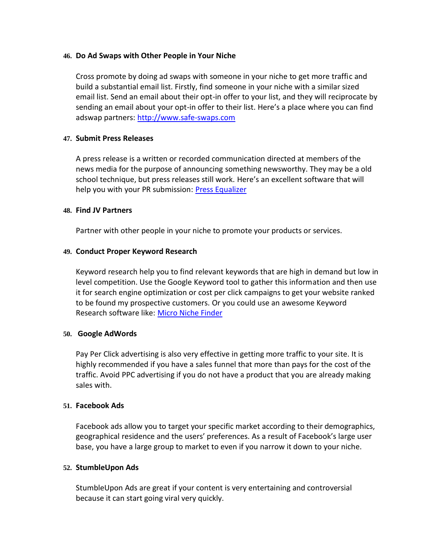#### **46. Do Ad Swaps with Other People in Your Niche**

Cross promote by doing ad swaps with someone in your niche to get more traffic and build a substantial email list. Firstly, find someone in your niche with a similar sized email list. Send an email about their opt-in offer to your list, and they will reciprocate by sending an email about your opt-in offer to their list. Here's a place where you can find adswap partners: [http://www.safe-swaps.com](http://www.safe-swaps.com/)

# **47. Submit Press Releases**

A press release is a written or recorded communication directed at members of the news media for the purpose of announcing something newsworthy. They may be a old school technique, but press releases still work. Here's an excellent software that will help you with your PR submission: [Press Equalizer](http://www.pressequalizer.com/)

# **48. Find JV Partners**

Partner with other people in your niche to promote your products or services.

# **49. Conduct Proper Keyword Research**

Keyword research help you to find relevant keywords that are high in demand but low in level competition. Use the Google Keyword tool to gather this information and then use it for search engine optimization or cost per click campaigns to get your website ranked to be found my prospective customers. Or you could use an awesome Keyword Research software like: [Micro Niche Finder](http://www.micronichefinder.com/)

# **50. Google AdWords**

Pay Per Click advertising is also very effective in getting more traffic to your site. It is highly recommended if you have a sales funnel that more than pays for the cost of the traffic. Avoid PPC advertising if you do not have a product that you are already making sales with.

# **51. Facebook Ads**

Facebook ads allow you to target your specific market according to their demographics, geographical residence and the users' preferences. As a result of Facebook's large user base, you have a large group to market to even if you narrow it down to your niche.

# **52. StumbleUpon Ads**

StumbleUpon Ads are great if your content is very entertaining and controversial because it can start going viral very quickly.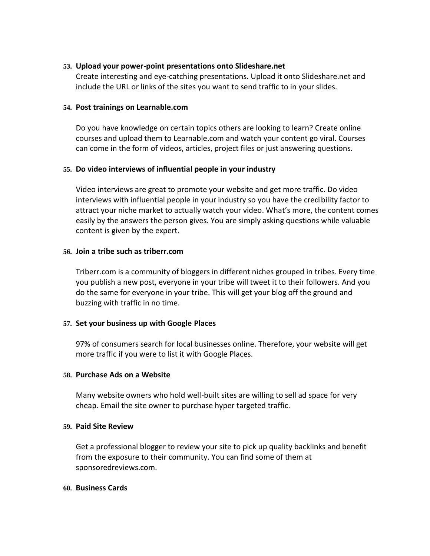# **53. Upload your power-point presentations onto Slideshare.net**

Create interesting and eye-catching presentations. Upload it onto Slideshare.net and include the URL or links of the sites you want to send traffic to in your slides.

#### **54. Post trainings on Learnable.com**

Do you have knowledge on certain topics others are looking to learn? Create online courses and upload them to Learnable.com and watch your content go viral. Courses can come in the form of videos, articles, project files or just answering questions.

# **55. Do video interviews of influential people in your industry**

Video interviews are great to promote your website and get more traffic. Do video interviews with influential people in your industry so you have the credibility factor to attract your niche market to actually watch your video. What's more, the content comes easily by the answers the person gives. You are simply asking questions while valuable content is given by the expert.

#### **56. Join a tribe such as triberr.com**

Triberr.com is a community of bloggers in different niches grouped in tribes. Every time you publish a new post, everyone in your tribe will tweet it to their followers. And you do the same for everyone in your tribe. This will get your blog off the ground and buzzing with traffic in no time.

# **57. Set your business up with Google Places**

97% of consumers search for local businesses online. Therefore, your website will get more traffic if you were to list it with Google Places.

# **58. Purchase Ads on a Website**

Many website owners who hold well-built sites are willing to sell ad space for very cheap. Email the site owner to purchase hyper targeted traffic.

#### **59. Paid Site Review**

Get a professional blogger to review your site to pick up quality backlinks and benefit from the exposure to their community. You can find some of them at sponsoredreviews.com.

#### **60. Business Cards**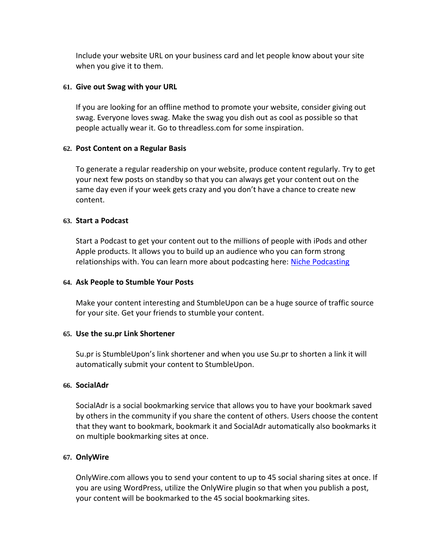Include your website URL on your business card and let people know about your site when you give it to them.

# **61. Give out Swag with your URL**

If you are looking for an offline method to promote your website, consider giving out swag. Everyone loves swag. Make the swag you dish out as cool as possible so that people actually wear it. Go to threadless.com for some inspiration.

# **62. Post Content on a Regular Basis**

To generate a regular readership on your website, produce content regularly. Try to get your next few posts on standby so that you can always get your content out on the same day even if your week gets crazy and you don't have a chance to create new content.

#### **63. Start a Podcast**

Start a Podcast to get your content out to the millions of people with iPods and other Apple products. It allows you to build up an audience who you can form strong relationships with. You can learn more about podcasting here: [Niche Podcasting](http://nichepodcasting.com/)

#### **64. Ask People to Stumble Your Posts**

Make your content interesting and StumbleUpon can be a huge source of traffic source for your site. Get your friends to stumble your content.

#### **65. Use the su.pr Link Shortener**

Su.pr is StumbleUpon's link shortener and when you use Su.pr to shorten a link it will automatically submit your content to StumbleUpon.

#### **66. SocialAdr**

SocialAdr is a social bookmarking service that allows you to have your bookmark saved by others in the community if you share the content of others. Users choose the content that they want to bookmark, bookmark it and SocialAdr automatically also bookmarks it on multiple bookmarking sites at once.

# **67. OnlyWire**

OnlyWire.com allows you to send your content to up to 45 social sharing sites at once. If you are using WordPress, utilize the OnlyWire plugin so that when you publish a post, your content will be bookmarked to the 45 social bookmarking sites.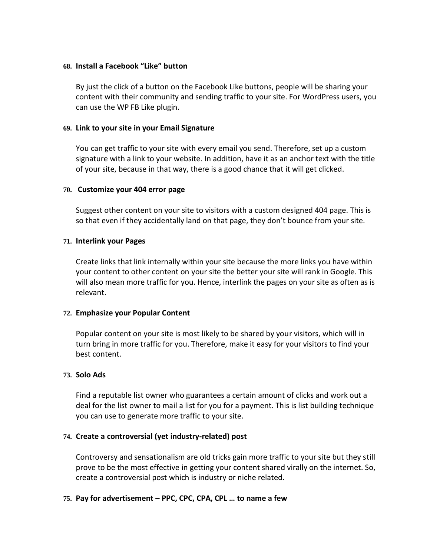#### **68. Install a Facebook "Like" button**

By just the click of a button on the Facebook Like buttons, people will be sharing your content with their community and sending traffic to your site. For WordPress users, you can use the WP FB Like plugin.

# **69. Link to your site in your Email Signature**

You can get traffic to your site with every email you send. Therefore, set up a custom signature with a link to your website. In addition, have it as an anchor text with the title of your site, because in that way, there is a good chance that it will get clicked.

# **70. Customize your 404 error page**

Suggest other content on your site to visitors with a custom designed 404 page. This is so that even if they accidentally land on that page, they don't bounce from your site.

# **71. Interlink your Pages**

Create links that link internally within your site because the more links you have within your content to other content on your site the better your site will rank in Google. This will also mean more traffic for you. Hence, interlink the pages on your site as often as is relevant.

# **72. Emphasize your Popular Content**

Popular content on your site is most likely to be shared by your visitors, which will in turn bring in more traffic for you. Therefore, make it easy for your visitors to find your best content.

# **73. Solo Ads**

Find a reputable list owner who guarantees a certain amount of clicks and work out a deal for the list owner to mail a list for you for a payment. This is list building technique you can use to generate more traffic to your site.

# **74. Create a controversial (yet industry-related) post**

Controversy and sensationalism are old tricks gain more traffic to your site but they still prove to be the most effective in getting your content shared virally on the internet. So, create a controversial post which is industry or niche related.

# **75. Pay for advertisement – PPC, CPC, CPA, CPL … to name a few**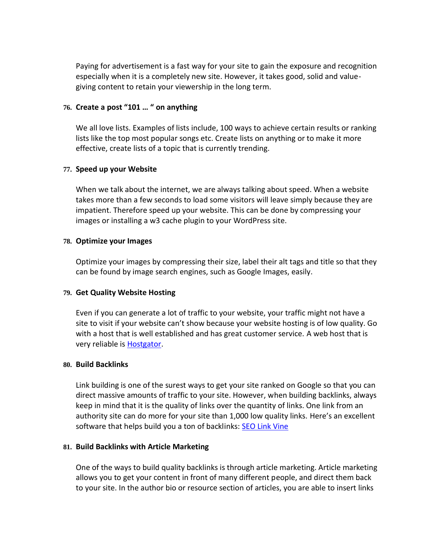Paying for advertisement is a fast way for your site to gain the exposure and recognition especially when it is a completely new site. However, it takes good, solid and valuegiving content to retain your viewership in the long term.

#### **76. Create a post "101 … " on anything**

We all love lists. Examples of lists include, 100 ways to achieve certain results or ranking lists like the top most popular songs etc. Create lists on anything or to make it more effective, create lists of a topic that is currently trending.

# **77. Speed up your Website**

When we talk about the internet, we are always talking about speed. When a website takes more than a few seconds to load some visitors will leave simply because they are impatient. Therefore speed up your website. This can be done by compressing your images or installing a w3 cache plugin to your WordPress site.

#### **78. Optimize your Images**

Optimize your images by compressing their size, label their alt tags and title so that they can be found by image search engines, such as Google Images, easily.

# **79. Get Quality Website Hosting**

Even if you can generate a lot of traffic to your website, your traffic might not have a site to visit if your website can't show because your website hosting is of low quality. Go with a host that is well established and has great customer service. A web host that is very reliable is [Hostgator.](http://www.hostgator.com/)

#### **80. Build Backlinks**

Link building is one of the surest ways to get your site ranked on Google so that you can direct massive amounts of traffic to your site. However, when building backlinks, always keep in mind that it is the quality of links over the quantity of links. One link from an authority site can do more for your site than 1,000 low quality links. Here's an excellent software that helps build you a ton of backlinks: [SEO Link Vine](http://www.seolinkvine.com/)

#### **81. Build Backlinks with Article Marketing**

One of the ways to build quality backlinks is through article marketing. Article marketing allows you to get your content in front of many different people, and direct them back to your site. In the author bio or resource section of articles, you are able to insert links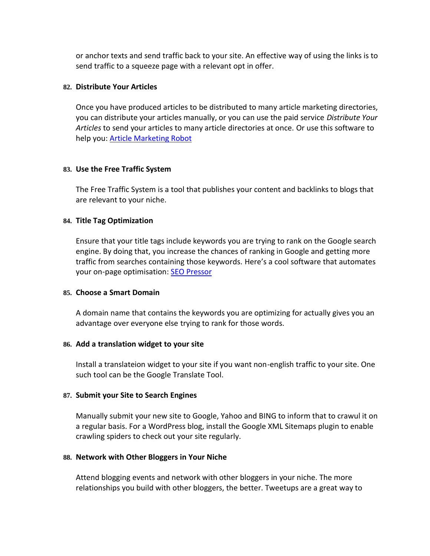or anchor texts and send traffic back to your site. An effective way of using the links is to send traffic to a squeeze page with a relevant opt in offer.

#### **82. Distribute Your Articles**

Once you have produced articles to be distributed to many article marketing directories, you can distribute your articles manually, or you can use the paid service *Distribute Your Articles* to send your articles to many article directories at once. Or use this software to help you: **Article Marketing Robot** 

#### **83. Use the Free Traffic System**

The Free Traffic System is a tool that publishes your content and backlinks to blogs that are relevant to your niche.

#### **84. Title Tag Optimization**

Ensure that your title tags include keywords you are trying to rank on the Google search engine. By doing that, you increase the chances of ranking in Google and getting more traffic from searches containing those keywords. Here's a cool software that automates your on-page optimisation: [SEO Pressor](http://seopressor.com/trial/index.php)

#### **85. Choose a Smart Domain**

A domain name that contains the keywords you are optimizing for actually gives you an advantage over everyone else trying to rank for those words.

#### **86. Add a translation widget to your site**

Install a translateion widget to your site if you want non-english traffic to your site. One such tool can be the Google Translate Tool.

#### **87. Submit your Site to Search Engines**

Manually submit your new site to Google, Yahoo and BING to inform that to crawul it on a regular basis. For a WordPress blog, install the Google XML Sitemaps plugin to enable crawling spiders to check out your site regularly.

# **88. Network with Other Bloggers in Your Niche**

Attend blogging events and network with other bloggers in your niche. The more relationships you build with other bloggers, the better. Tweetups are a great way to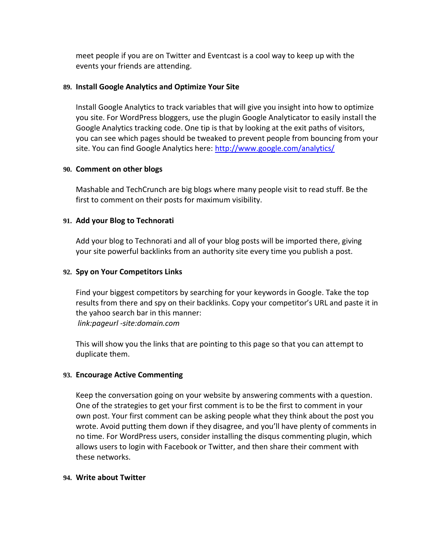meet people if you are on Twitter and Eventcast is a cool way to keep up with the events your friends are attending.

# **89. Install Google Analytics and Optimize Your Site**

Install Google Analytics to track variables that will give you insight into how to optimize you site. For WordPress bloggers, use the plugin Google Analyticator to easily install the Google Analytics tracking code. One tip is that by looking at the exit paths of visitors, you can see which pages should be tweaked to prevent people from bouncing from your site. You can find Google Analytics here:<http://www.google.com/analytics/>

# **90. Comment on other blogs**

Mashable and TechCrunch are big blogs where many people visit to read stuff. Be the first to comment on their posts for maximum visibility.

# **91. Add your Blog to Technorati**

Add your blog to Technorati and all of your blog posts will be imported there, giving your site powerful backlinks from an authority site every time you publish a post.

# **92. Spy on Your Competitors Links**

Find your biggest competitors by searching for your keywords in Google. Take the top results from there and spy on their backlinks. Copy your competitor's URL and paste it in the yahoo search bar in this manner: *link:pageurl -site:domain.com*

This will show you the links that are pointing to this page so that you can attempt to duplicate them.

# **93. Encourage Active Commenting**

Keep the conversation going on your website by answering comments with a question. One of the strategies to get your first comment is to be the first to comment in your own post. Your first comment can be asking people what they think about the post you wrote. Avoid putting them down if they disagree, and you'll have plenty of comments in no time. For WordPress users, consider installing the disqus commenting plugin, which allows users to login with Facebook or Twitter, and then share their comment with these networks.

# **94. Write about Twitter**